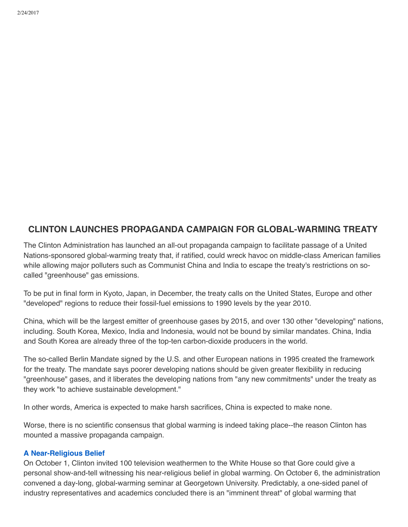## **CLINTON LAUNCHES PROPAGANDA CAMPAIGN FOR GLOBAL-WARMING TREATY**

The Clinton Administration has launched an all-out propaganda campaign to facilitate passage of a United Nations-sponsored global-warming treaty that, if ratified, could wreck havoc on middle-class American families while allowing major polluters such as Communist China and India to escape the treaty's restrictions on socalled "greenhouse" gas emissions.

To be put in final form in Kyoto, Japan, in December, the treaty calls on the United States, Europe and other "developed" regions to reduce their fossil-fuel emissions to 1990 levels by the year 2010.

China, which will be the largest emitter of greenhouse gases by 2015, and over 130 other "developing" nations, including. South Korea, Mexico, India and Indonesia, would not be bound by similar mandates. China, India and South Korea are already three of the top-ten carbon-dioxide producers in the world.

The so-called Berlin Mandate signed by the U.S. and other European nations in 1995 created the framework for the treaty. The mandate says poorer developing nations should be given greater flexibility in reducing "greenhouse" gases, and it liberates the developing nations from "any new commitments" under the treaty as they work "to achieve sustainable development."

In other words, America is expected to make harsh sacrifices, China is expected to make none.

Worse, there is no scientific consensus that global warming is indeed taking place--the reason Clinton has mounted a massive propaganda campaign.

## **A Near-Religious Belief**

On October 1, Clinton invited 100 television weathermen to the White House so that Gore could give a personal show-and-tell witnessing his near-religious belief in global warming. On October 6, the administration convened a day-long, global-warming seminar at Georgetown University. Predictably, a one-sided panel of industry representatives and academics concluded there is an "imminent threat" of global warming that